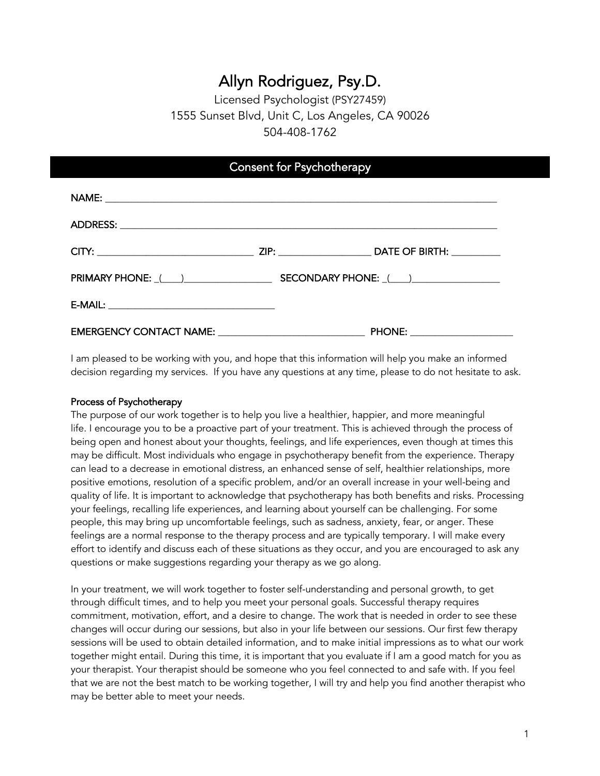# Allyn Rodriguez, Psy.D.

# Licensed Psychologist (PSY27459) 1555 Sunset Blvd, Unit C, Los Angeles, CA 90026 504-408-1762

| <b>Consent for Psychotherapy</b>                        |  |                               |  |
|---------------------------------------------------------|--|-------------------------------|--|
|                                                         |  |                               |  |
|                                                         |  |                               |  |
|                                                         |  |                               |  |
|                                                         |  |                               |  |
|                                                         |  |                               |  |
| EMERGENCY CONTACT NAME: _______________________________ |  | PHONE: ______________________ |  |

I am pleased to be working with you, and hope that this information will help you make an informed decision regarding my services. If you have any questions at any time, please to do not hesitate to ask.

# Process of Psychotherapy

The purpose of our work together is to help you live a healthier, happier, and more meaningful life. I encourage you to be a proactive part of your treatment. This is achieved through the process of being open and honest about your thoughts, feelings, and life experiences, even though at times this may be difficult. Most individuals who engage in psychotherapy benefit from the experience. Therapy can lead to a decrease in emotional distress, an enhanced sense of self, healthier relationships, more positive emotions, resolution of a specific problem, and/or an overall increase in your well-being and quality of life. It is important to acknowledge that psychotherapy has both benefits and risks. Processing your feelings, recalling life experiences, and learning about yourself can be challenging. For some people, this may bring up uncomfortable feelings, such as sadness, anxiety, fear, or anger. These feelings are a normal response to the therapy process and are typically temporary. I will make every effort to identify and discuss each of these situations as they occur, and you are encouraged to ask any questions or make suggestions regarding your therapy as we go along.

In your treatment, we will work together to foster self-understanding and personal growth, to get through difficult times, and to help you meet your personal goals. Successful therapy requires commitment, motivation, effort, and a desire to change. The work that is needed in order to see these changes will occur during our sessions, but also in your life between our sessions. Our first few therapy sessions will be used to obtain detailed information, and to make initial impressions as to what our work together might entail. During this time, it is important that you evaluate if I am a good match for you as your therapist. Your therapist should be someone who you feel connected to and safe with. If you feel that we are not the best match to be working together, I will try and help you find another therapist who may be better able to meet your needs.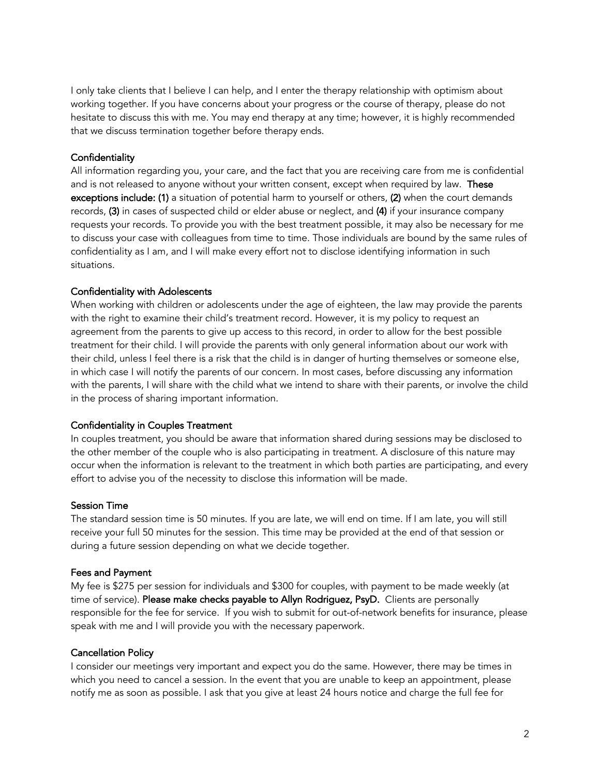I only take clients that I believe I can help, and I enter the therapy relationship with optimism about working together. If you have concerns about your progress or the course of therapy, please do not hesitate to discuss this with me. You may end therapy at any time; however, it is highly recommended that we discuss termination together before therapy ends.

# **Confidentiality**

All information regarding you, your care, and the fact that you are receiving care from me is confidential and is not released to anyone without your written consent, except when required by law. These exceptions include: (1) a situation of potential harm to yourself or others, (2) when the court demands records, (3) in cases of suspected child or elder abuse or neglect, and (4) if your insurance company requests your records. To provide you with the best treatment possible, it may also be necessary for me to discuss your case with colleagues from time to time. Those individuals are bound by the same rules of confidentiality as I am, and I will make every effort not to disclose identifying information in such situations.

#### Confidentiality with Adolescents

When working with children or adolescents under the age of eighteen, the law may provide the parents with the right to examine their child's treatment record. However, it is my policy to request an agreement from the parents to give up access to this record, in order to allow for the best possible treatment for their child. I will provide the parents with only general information about our work with their child, unless I feel there is a risk that the child is in danger of hurting themselves or someone else, in which case I will notify the parents of our concern. In most cases, before discussing any information with the parents, I will share with the child what we intend to share with their parents, or involve the child in the process of sharing important information.

#### Confidentiality in Couples Treatment

In couples treatment, you should be aware that information shared during sessions may be disclosed to the other member of the couple who is also participating in treatment. A disclosure of this nature may occur when the information is relevant to the treatment in which both parties are participating, and every effort to advise you of the necessity to disclose this information will be made.

#### Session Time

The standard session time is 50 minutes. If you are late, we will end on time. If I am late, you will still receive your full 50 minutes for the session. This time may be provided at the end of that session or during a future session depending on what we decide together.

#### Fees and Payment

My fee is \$275 per session for individuals and \$300 for couples, with payment to be made weekly (at time of service). Please make checks payable to Allyn Rodriguez, PsyD. Clients are personally responsible for the fee for service. If you wish to submit for out-of-network benefits for insurance, please speak with me and I will provide you with the necessary paperwork.

## Cancellation Policy

I consider our meetings very important and expect you do the same. However, there may be times in which you need to cancel a session. In the event that you are unable to keep an appointment, please notify me as soon as possible. I ask that you give at least 24 hours notice and charge the full fee for